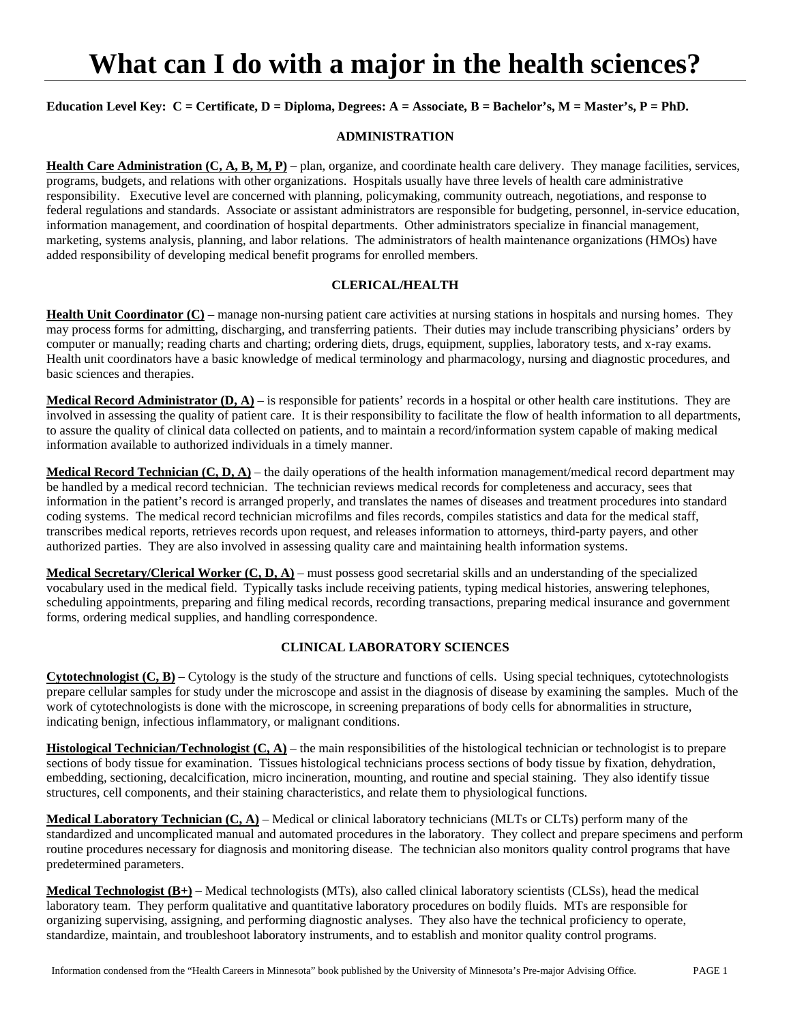# **What can I do with a major in the health sciences?**

# Education Level Key: C = Certificate, D = Diploma, Degrees: A = Associate, B = Bachelor's, M = Master's, P = PhD.

#### **ADMINISTRATION**

**Health Care Administration (C, A, B, M, P)** – plan, organize, and coordinate health care delivery. They manage facilities, services, programs, budgets, and relations with other organizations. Hospitals usually have three levels of health care administrative responsibility. Executive level are concerned with planning, policymaking, community outreach, negotiations, and response to federal regulations and standards. Associate or assistant administrators are responsible for budgeting, personnel, in-service education, information management, and coordination of hospital departments. Other administrators specialize in financial management, marketing, systems analysis, planning, and labor relations. The administrators of health maintenance organizations (HMOs) have added responsibility of developing medical benefit programs for enrolled members.

### **CLERICAL/HEALTH**

**Health Unit Coordinator (C)** – manage non-nursing patient care activities at nursing stations in hospitals and nursing homes. They may process forms for admitting, discharging, and transferring patients. Their duties may include transcribing physicians' orders by computer or manually; reading charts and charting; ordering diets, drugs, equipment, supplies, laboratory tests, and x-ray exams. Health unit coordinators have a basic knowledge of medical terminology and pharmacology, nursing and diagnostic procedures, and basic sciences and therapies.

**Medical Record Administrator (D, A)** – is responsible for patients' records in a hospital or other health care institutions. They are involved in assessing the quality of patient care. It is their responsibility to facilitate the flow of health information to all departments, to assure the quality of clinical data collected on patients, and to maintain a record/information system capable of making medical information available to authorized individuals in a timely manner.

**Medical Record Technician (C, D, A)** – the daily operations of the health information management/medical record department may be handled by a medical record technician. The technician reviews medical records for completeness and accuracy, sees that information in the patient's record is arranged properly, and translates the names of diseases and treatment procedures into standard coding systems. The medical record technician microfilms and files records, compiles statistics and data for the medical staff, transcribes medical reports, retrieves records upon request, and releases information to attorneys, third-party payers, and other authorized parties. They are also involved in assessing quality care and maintaining health information systems.

**Medical Secretary/Clerical Worker (C, D, A)** – must possess good secretarial skills and an understanding of the specialized vocabulary used in the medical field. Typically tasks include receiving patients, typing medical histories, answering telephones, scheduling appointments, preparing and filing medical records, recording transactions, preparing medical insurance and government forms, ordering medical supplies, and handling correspondence.

#### **CLINICAL LABORATORY SCIENCES**

**Cytotechnologist (C, B)** – Cytology is the study of the structure and functions of cells. Using special techniques, cytotechnologists prepare cellular samples for study under the microscope and assist in the diagnosis of disease by examining the samples. Much of the work of cytotechnologists is done with the microscope, in screening preparations of body cells for abnormalities in structure, indicating benign, infectious inflammatory, or malignant conditions.

**Histological Technician/Technologist (C, A)** – the main responsibilities of the histological technician or technologist is to prepare sections of body tissue for examination. Tissues histological technicians process sections of body tissue by fixation, dehydration, embedding, sectioning, decalcification, micro incineration, mounting, and routine and special staining. They also identify tissue structures, cell components, and their staining characteristics, and relate them to physiological functions.

**Medical Laboratory Technician (C, A)** – Medical or clinical laboratory technicians (MLTs or CLTs) perform many of the standardized and uncomplicated manual and automated procedures in the laboratory. They collect and prepare specimens and perform routine procedures necessary for diagnosis and monitoring disease. The technician also monitors quality control programs that have predetermined parameters.

**Medical Technologist (B+)** – Medical technologists (MTs), also called clinical laboratory scientists (CLSs), head the medical laboratory team. They perform qualitative and quantitative laboratory procedures on bodily fluids. MTs are responsible for organizing supervising, assigning, and performing diagnostic analyses. They also have the technical proficiency to operate, standardize, maintain, and troubleshoot laboratory instruments, and to establish and monitor quality control programs.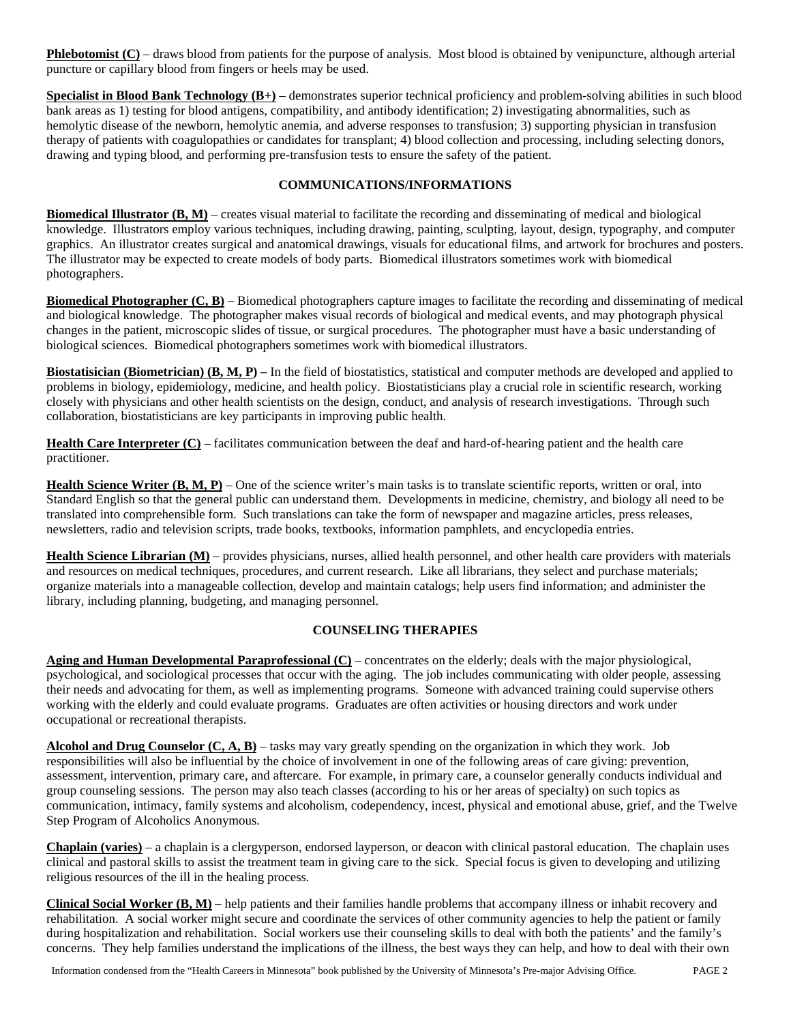**Phlebotomist (C)** – draws blood from patients for the purpose of analysis. Most blood is obtained by venipuncture, although arterial puncture or capillary blood from fingers or heels may be used.

**Specialist in Blood Bank Technology (B+)** – demonstrates superior technical proficiency and problem-solving abilities in such blood bank areas as 1) testing for blood antigens, compatibility, and antibody identification; 2) investigating abnormalities, such as hemolytic disease of the newborn, hemolytic anemia, and adverse responses to transfusion; 3) supporting physician in transfusion therapy of patients with coagulopathies or candidates for transplant; 4) blood collection and processing, including selecting donors, drawing and typing blood, and performing pre-transfusion tests to ensure the safety of the patient.

# **COMMUNICATIONS/INFORMATIONS**

**Biomedical Illustrator (B, M)** – creates visual material to facilitate the recording and disseminating of medical and biological knowledge. Illustrators employ various techniques, including drawing, painting, sculpting, layout, design, typography, and computer graphics. An illustrator creates surgical and anatomical drawings, visuals for educational films, and artwork for brochures and posters. The illustrator may be expected to create models of body parts. Biomedical illustrators sometimes work with biomedical photographers.

**Biomedical Photographer (C, B)** – Biomedical photographers capture images to facilitate the recording and disseminating of medical and biological knowledge. The photographer makes visual records of biological and medical events, and may photograph physical changes in the patient, microscopic slides of tissue, or surgical procedures. The photographer must have a basic understanding of biological sciences. Biomedical photographers sometimes work with biomedical illustrators.

**Biostatisician (Biometrician) (B, M, P)** – In the field of biostatistics, statistical and computer methods are developed and applied to problems in biology, epidemiology, medicine, and health policy. Biostatisticians play a crucial role in scientific research, working closely with physicians and other health scientists on the design, conduct, and analysis of research investigations. Through such collaboration, biostatisticians are key participants in improving public health.

**Health Care Interpreter (C)** – facilitates communication between the deaf and hard-of-hearing patient and the health care practitioner.

Health Science Writer (B, M, P) – One of the science writer's main tasks is to translate scientific reports, written or oral, into Standard English so that the general public can understand them. Developments in medicine, chemistry, and biology all need to be translated into comprehensible form. Such translations can take the form of newspaper and magazine articles, press releases, newsletters, radio and television scripts, trade books, textbooks, information pamphlets, and encyclopedia entries.

**Health Science Librarian (M)** – provides physicians, nurses, allied health personnel, and other health care providers with materials and resources on medical techniques, procedures, and current research. Like all librarians, they select and purchase materials; organize materials into a manageable collection, develop and maintain catalogs; help users find information; and administer the library, including planning, budgeting, and managing personnel.

### **COUNSELING THERAPIES**

**Aging and Human Developmental Paraprofessional (C)** – concentrates on the elderly; deals with the major physiological, psychological, and sociological processes that occur with the aging. The job includes communicating with older people, assessing their needs and advocating for them, as well as implementing programs. Someone with advanced training could supervise others working with the elderly and could evaluate programs. Graduates are often activities or housing directors and work under occupational or recreational therapists.

**Alcohol and Drug Counselor (C, A, B)** – tasks may vary greatly spending on the organization in which they work. Job responsibilities will also be influential by the choice of involvement in one of the following areas of care giving: prevention, assessment, intervention, primary care, and aftercare. For example, in primary care, a counselor generally conducts individual and group counseling sessions. The person may also teach classes (according to his or her areas of specialty) on such topics as communication, intimacy, family systems and alcoholism, codependency, incest, physical and emotional abuse, grief, and the Twelve Step Program of Alcoholics Anonymous.

**Chaplain (varies)** – a chaplain is a clergyperson, endorsed layperson, or deacon with clinical pastoral education. The chaplain uses clinical and pastoral skills to assist the treatment team in giving care to the sick. Special focus is given to developing and utilizing religious resources of the ill in the healing process.

**Clinical Social Worker (B, M)** – help patients and their families handle problems that accompany illness or inhabit recovery and rehabilitation. A social worker might secure and coordinate the services of other community agencies to help the patient or family during hospitalization and rehabilitation. Social workers use their counseling skills to deal with both the patients' and the family's concerns. They help families understand the implications of the illness, the best ways they can help, and how to deal with their own

Information condensed from the "Health Careers in Minnesota" book published by the University of Minnesota's Pre-major Advising Office. PAGE 2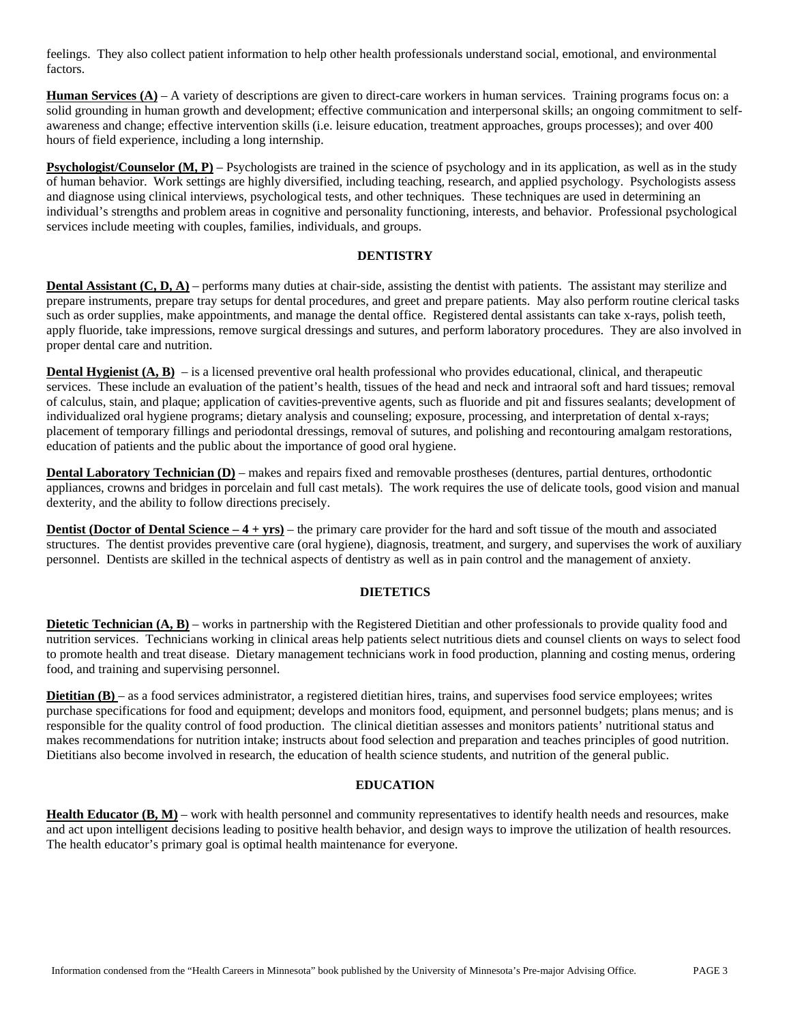feelings. They also collect patient information to help other health professionals understand social, emotional, and environmental factors.

**Human Services (A)** – A variety of descriptions are given to direct-care workers in human services. Training programs focus on: a solid grounding in human growth and development; effective communication and interpersonal skills; an ongoing commitment to selfawareness and change; effective intervention skills (i.e. leisure education, treatment approaches, groups processes); and over 400 hours of field experience, including a long internship.

**Psychologist/Counselor (M, P)** – Psychologists are trained in the science of psychology and in its application, as well as in the study of human behavior. Work settings are highly diversified, including teaching, research, and applied psychology. Psychologists assess and diagnose using clinical interviews, psychological tests, and other techniques. These techniques are used in determining an individual's strengths and problem areas in cognitive and personality functioning, interests, and behavior. Professional psychological services include meeting with couples, families, individuals, and groups.

#### **DENTISTRY**

**Dental Assistant (C, D, A)** – performs many duties at chair-side, assisting the dentist with patients. The assistant may sterilize and prepare instruments, prepare tray setups for dental procedures, and greet and prepare patients. May also perform routine clerical tasks such as order supplies, make appointments, and manage the dental office. Registered dental assistants can take x-rays, polish teeth, apply fluoride, take impressions, remove surgical dressings and sutures, and perform laboratory procedures. They are also involved in proper dental care and nutrition.

**Dental Hygienist (A, B)** – is a licensed preventive oral health professional who provides educational, clinical, and therapeutic services. These include an evaluation of the patient's health, tissues of the head and neck and intraoral soft and hard tissues; removal of calculus, stain, and plaque; application of cavities-preventive agents, such as fluoride and pit and fissures sealants; development of individualized oral hygiene programs; dietary analysis and counseling; exposure, processing, and interpretation of dental x-rays; placement of temporary fillings and periodontal dressings, removal of sutures, and polishing and recontouring amalgam restorations, education of patients and the public about the importance of good oral hygiene.

**Dental Laboratory Technician (D)** – makes and repairs fixed and removable prostheses (dentures, partial dentures, orthodontic appliances, crowns and bridges in porcelain and full cast metals). The work requires the use of delicate tools, good vision and manual dexterity, and the ability to follow directions precisely.

**Dentist (Doctor of Dental Science – 4 + yrs)** – the primary care provider for the hard and soft tissue of the mouth and associated structures. The dentist provides preventive care (oral hygiene), diagnosis, treatment, and surgery, and supervises the work of auxiliary personnel. Dentists are skilled in the technical aspects of dentistry as well as in pain control and the management of anxiety.

#### **DIETETICS**

**Dietetic Technician (A, B)** – works in partnership with the Registered Dietitian and other professionals to provide quality food and nutrition services. Technicians working in clinical areas help patients select nutritious diets and counsel clients on ways to select food to promote health and treat disease. Dietary management technicians work in food production, planning and costing menus, ordering food, and training and supervising personnel.

**Dietitian (B)** – as a food services administrator, a registered dietitian hires, trains, and supervises food service employees; writes purchase specifications for food and equipment; develops and monitors food, equipment, and personnel budgets; plans menus; and is responsible for the quality control of food production. The clinical dietitian assesses and monitors patients' nutritional status and makes recommendations for nutrition intake; instructs about food selection and preparation and teaches principles of good nutrition. Dietitians also become involved in research, the education of health science students, and nutrition of the general public.

### **EDUCATION**

**Health Educator (B, M)** – work with health personnel and community representatives to identify health needs and resources, make and act upon intelligent decisions leading to positive health behavior, and design ways to improve the utilization of health resources. The health educator's primary goal is optimal health maintenance for everyone.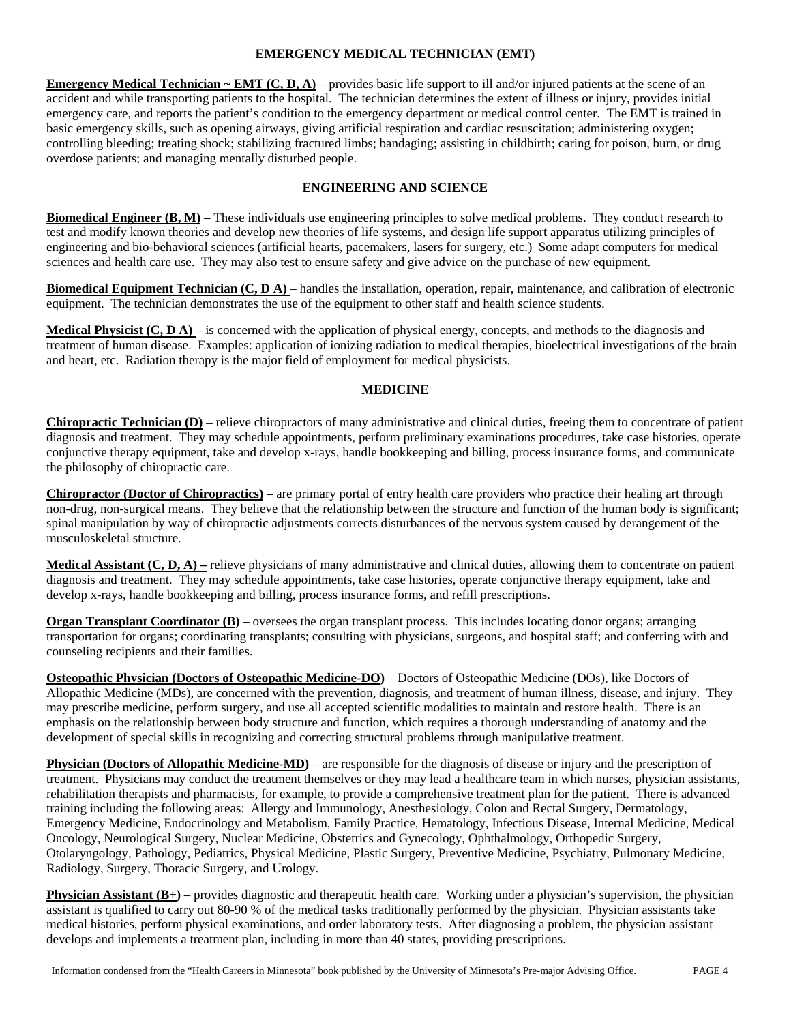# **EMERGENCY MEDICAL TECHNICIAN (EMT)**

**Emergency Medical Technician ~ EMT (C, D, A)** – provides basic life support to ill and/or injured patients at the scene of an accident and while transporting patients to the hospital. The technician determines the extent of illness or injury, provides initial emergency care, and reports the patient's condition to the emergency department or medical control center. The EMT is trained in basic emergency skills, such as opening airways, giving artificial respiration and cardiac resuscitation; administering oxygen; controlling bleeding; treating shock; stabilizing fractured limbs; bandaging; assisting in childbirth; caring for poison, burn, or drug overdose patients; and managing mentally disturbed people.

# **ENGINEERING AND SCIENCE**

**Biomedical Engineer (B, M)** – These individuals use engineering principles to solve medical problems. They conduct research to test and modify known theories and develop new theories of life systems, and design life support apparatus utilizing principles of engineering and bio-behavioral sciences (artificial hearts, pacemakers, lasers for surgery, etc.) Some adapt computers for medical sciences and health care use. They may also test to ensure safety and give advice on the purchase of new equipment.

**Biomedical Equipment Technician (C, D A)** – handles the installation, operation, repair, maintenance, and calibration of electronic equipment. The technician demonstrates the use of the equipment to other staff and health science students.

**Medical Physicist (C, D A)** – is concerned with the application of physical energy, concepts, and methods to the diagnosis and treatment of human disease. Examples: application of ionizing radiation to medical therapies, bioelectrical investigations of the brain and heart, etc. Radiation therapy is the major field of employment for medical physicists.

### **MEDICINE**

**Chiropractic Technician (D)** – relieve chiropractors of many administrative and clinical duties, freeing them to concentrate of patient diagnosis and treatment. They may schedule appointments, perform preliminary examinations procedures, take case histories, operate conjunctive therapy equipment, take and develop x-rays, handle bookkeeping and billing, process insurance forms, and communicate the philosophy of chiropractic care.

**Chiropractor (Doctor of Chiropractics)** – are primary portal of entry health care providers who practice their healing art through non-drug, non-surgical means. They believe that the relationship between the structure and function of the human body is significant; spinal manipulation by way of chiropractic adjustments corrects disturbances of the nervous system caused by derangement of the musculoskeletal structure.

**Medical Assistant (C, D, A) –** relieve physicians of many administrative and clinical duties, allowing them to concentrate on patient diagnosis and treatment. They may schedule appointments, take case histories, operate conjunctive therapy equipment, take and develop x-rays, handle bookkeeping and billing, process insurance forms, and refill prescriptions.

**Organ Transplant Coordinator (B)** – oversees the organ transplant process. This includes locating donor organs; arranging transportation for organs; coordinating transplants; consulting with physicians, surgeons, and hospital staff; and conferring with and counseling recipients and their families.

**Osteopathic Physician (Doctors of Osteopathic Medicine-DO)** – Doctors of Osteopathic Medicine (DOs), like Doctors of Allopathic Medicine (MDs), are concerned with the prevention, diagnosis, and treatment of human illness, disease, and injury. They may prescribe medicine, perform surgery, and use all accepted scientific modalities to maintain and restore health. There is an emphasis on the relationship between body structure and function, which requires a thorough understanding of anatomy and the development of special skills in recognizing and correcting structural problems through manipulative treatment.

**Physician (Doctors of Allopathic Medicine-MD)** – are responsible for the diagnosis of disease or injury and the prescription of treatment. Physicians may conduct the treatment themselves or they may lead a healthcare team in which nurses, physician assistants, rehabilitation therapists and pharmacists, for example, to provide a comprehensive treatment plan for the patient. There is advanced training including the following areas: Allergy and Immunology, Anesthesiology, Colon and Rectal Surgery, Dermatology, Emergency Medicine, Endocrinology and Metabolism, Family Practice, Hematology, Infectious Disease, Internal Medicine, Medical Oncology, Neurological Surgery, Nuclear Medicine, Obstetrics and Gynecology, Ophthalmology, Orthopedic Surgery, Otolaryngology, Pathology, Pediatrics, Physical Medicine, Plastic Surgery, Preventive Medicine, Psychiatry, Pulmonary Medicine, Radiology, Surgery, Thoracic Surgery, and Urology.

**Physician Assistant (B+)** – provides diagnostic and therapeutic health care. Working under a physician's supervision, the physician assistant is qualified to carry out 80-90 % of the medical tasks traditionally performed by the physician. Physician assistants take medical histories, perform physical examinations, and order laboratory tests. After diagnosing a problem, the physician assistant develops and implements a treatment plan, including in more than 40 states, providing prescriptions.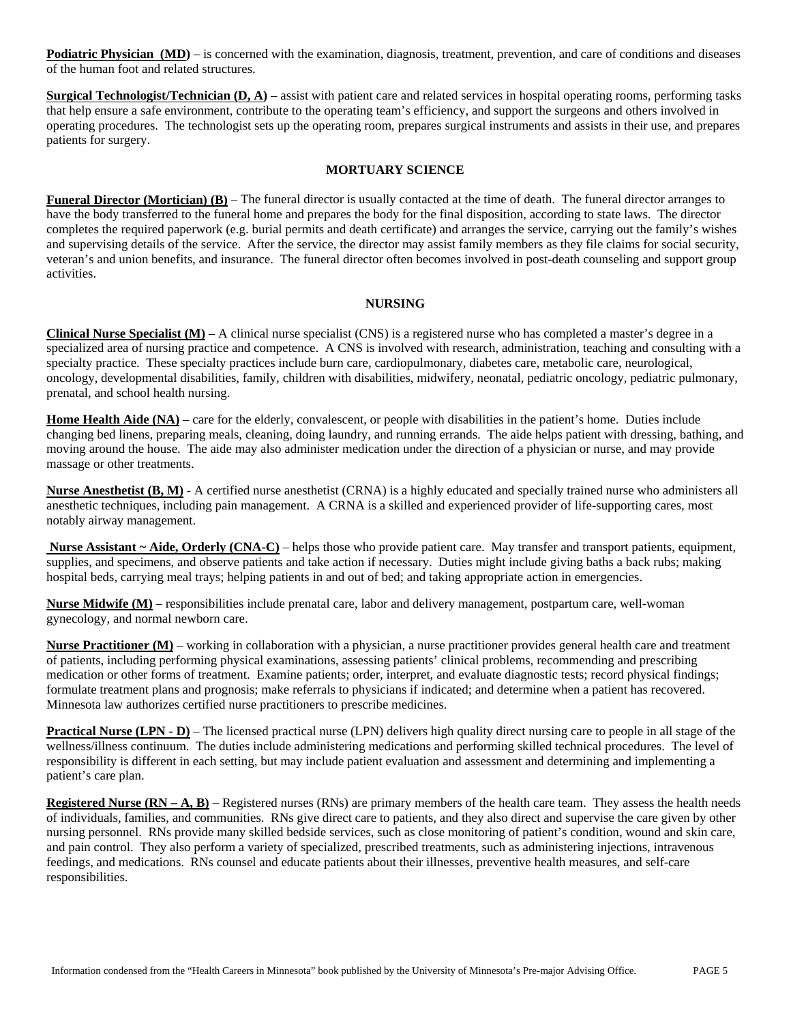**Podiatric Physician (MD)** – is concerned with the examination, diagnosis, treatment, prevention, and care of conditions and diseases of the human foot and related structures.

**Surgical Technologist/Technician (D, A)** – assist with patient care and related services in hospital operating rooms, performing tasks that help ensure a safe environment, contribute to the operating team's efficiency, and support the surgeons and others involved in operating procedures. The technologist sets up the operating room, prepares surgical instruments and assists in their use, and prepares patients for surgery.

# **MORTUARY SCIENCE**

**Funeral Director (Mortician) (B)** – The funeral director is usually contacted at the time of death. The funeral director arranges to have the body transferred to the funeral home and prepares the body for the final disposition, according to state laws. The director completes the required paperwork (e.g. burial permits and death certificate) and arranges the service, carrying out the family's wishes and supervising details of the service. After the service, the director may assist family members as they file claims for social security, veteran's and union benefits, and insurance. The funeral director often becomes involved in post-death counseling and support group activities.

#### **NURSING**

**Clinical Nurse Specialist**  $(M)$  – A clinical nurse specialist (CNS) is a registered nurse who has completed a master's degree in a specialized area of nursing practice and competence. A CNS is involved with research, administration, teaching and consulting with a specialty practice. These specialty practices include burn care, cardiopulmonary, diabetes care, metabolic care, neurological, oncology, developmental disabilities, family, children with disabilities, midwifery, neonatal, pediatric oncology, pediatric pulmonary, prenatal, and school health nursing.

**Home Health Aide (NA)** – care for the elderly, convalescent, or people with disabilities in the patient's home. Duties include changing bed linens, preparing meals, cleaning, doing laundry, and running errands. The aide helps patient with dressing, bathing, and moving around the house. The aide may also administer medication under the direction of a physician or nurse, and may provide massage or other treatments.

**Nurse Anesthetist (B, M)** - A certified nurse anesthetist (CRNA) is a highly educated and specially trained nurse who administers all anesthetic techniques, including pain management. A CRNA is a skilled and experienced provider of life-supporting cares, most notably airway management.

 **Nurse Assistant ~ Aide, Orderly (CNA-C)** – helps those who provide patient care. May transfer and transport patients, equipment, supplies, and specimens, and observe patients and take action if necessary. Duties might include giving baths a back rubs; making hospital beds, carrying meal trays; helping patients in and out of bed; and taking appropriate action in emergencies.

**Nurse Midwife (M)** – responsibilities include prenatal care, labor and delivery management, postpartum care, well-woman gynecology, and normal newborn care.

**Nurse Practitioner (M)** – working in collaboration with a physician, a nurse practitioner provides general health care and treatment of patients, including performing physical examinations, assessing patients' clinical problems, recommending and prescribing medication or other forms of treatment. Examine patients; order, interpret, and evaluate diagnostic tests; record physical findings; formulate treatment plans and prognosis; make referrals to physicians if indicated; and determine when a patient has recovered. Minnesota law authorizes certified nurse practitioners to prescribe medicines.

**Practical Nurse (LPN - D)** – The licensed practical nurse (LPN) delivers high quality direct nursing care to people in all stage of the wellness/illness continuum. The duties include administering medications and performing skilled technical procedures. The level of responsibility is different in each setting, but may include patient evaluation and assessment and determining and implementing a patient's care plan.

**Registered Nurse (RN – A, B)** – Registered nurses (RNs) are primary members of the health care team. They assess the health needs of individuals, families, and communities. RNs give direct care to patients, and they also direct and supervise the care given by other nursing personnel. RNs provide many skilled bedside services, such as close monitoring of patient's condition, wound and skin care, and pain control. They also perform a variety of specialized, prescribed treatments, such as administering injections, intravenous feedings, and medications. RNs counsel and educate patients about their illnesses, preventive health measures, and self-care responsibilities.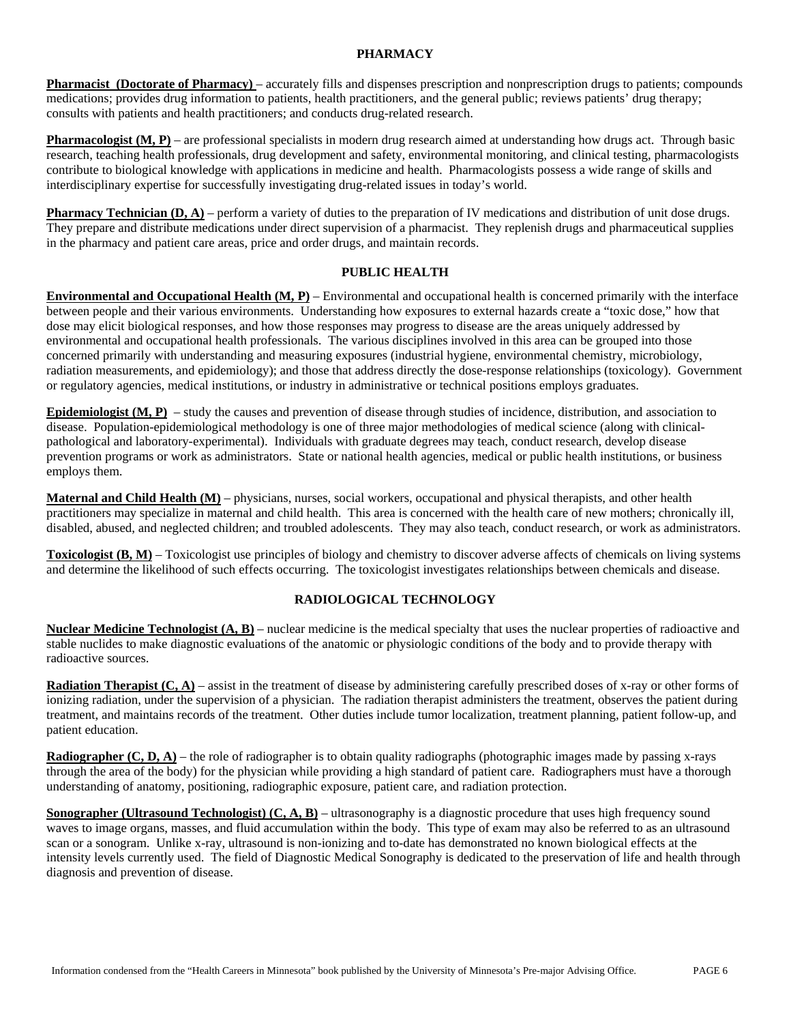#### **PHARMACY**

**Pharmacist (Doctorate of Pharmacy)** – accurately fills and dispenses prescription and nonprescription drugs to patients; compounds medications; provides drug information to patients, health practitioners, and the general public; reviews patients' drug therapy; consults with patients and health practitioners; and conducts drug-related research.

**Pharmacologist (M, P)** – are professional specialists in modern drug research aimed at understanding how drugs act. Through basic research, teaching health professionals, drug development and safety, environmental monitoring, and clinical testing, pharmacologists contribute to biological knowledge with applications in medicine and health. Pharmacologists possess a wide range of skills and interdisciplinary expertise for successfully investigating drug-related issues in today's world.

**Pharmacy Technician (D, A)** – perform a variety of duties to the preparation of IV medications and distribution of unit dose drugs. They prepare and distribute medications under direct supervision of a pharmacist. They replenish drugs and pharmaceutical supplies in the pharmacy and patient care areas, price and order drugs, and maintain records.

### **PUBLIC HEALTH**

**Environmental and Occupational Health (M, P)** – Environmental and occupational health is concerned primarily with the interface between people and their various environments. Understanding how exposures to external hazards create a "toxic dose," how that dose may elicit biological responses, and how those responses may progress to disease are the areas uniquely addressed by environmental and occupational health professionals. The various disciplines involved in this area can be grouped into those concerned primarily with understanding and measuring exposures (industrial hygiene, environmental chemistry, microbiology, radiation measurements, and epidemiology); and those that address directly the dose-response relationships (toxicology). Government or regulatory agencies, medical institutions, or industry in administrative or technical positions employs graduates.

**Epidemiologist (M, P)** – study the causes and prevention of disease through studies of incidence, distribution, and association to disease. Population-epidemiological methodology is one of three major methodologies of medical science (along with clinicalpathological and laboratory-experimental). Individuals with graduate degrees may teach, conduct research, develop disease prevention programs or work as administrators. State or national health agencies, medical or public health institutions, or business employs them.

**Maternal and Child Health (M)** – physicians, nurses, social workers, occupational and physical therapists, and other health practitioners may specialize in maternal and child health. This area is concerned with the health care of new mothers; chronically ill, disabled, abused, and neglected children; and troubled adolescents. They may also teach, conduct research, or work as administrators.

**Toxicologist (B, M)** – Toxicologist use principles of biology and chemistry to discover adverse affects of chemicals on living systems and determine the likelihood of such effects occurring. The toxicologist investigates relationships between chemicals and disease.

# **RADIOLOGICAL TECHNOLOGY**

**Nuclear Medicine Technologist (A, B)** – nuclear medicine is the medical specialty that uses the nuclear properties of radioactive and stable nuclides to make diagnostic evaluations of the anatomic or physiologic conditions of the body and to provide therapy with radioactive sources.

**Radiation Therapist (C, A)** – assist in the treatment of disease by administering carefully prescribed doses of x-ray or other forms of ionizing radiation, under the supervision of a physician. The radiation therapist administers the treatment, observes the patient during treatment, and maintains records of the treatment. Other duties include tumor localization, treatment planning, patient follow-up, and patient education.

**Radiographer (C, D, A)** – the role of radiographer is to obtain quality radiographs (photographic images made by passing x-rays through the area of the body) for the physician while providing a high standard of patient care. Radiographers must have a thorough understanding of anatomy, positioning, radiographic exposure, patient care, and radiation protection.

**Sonographer (Ultrasound Technologist) (C, A, B)** – ultrasonography is a diagnostic procedure that uses high frequency sound waves to image organs, masses, and fluid accumulation within the body. This type of exam may also be referred to as an ultrasound scan or a sonogram. Unlike x-ray, ultrasound is non-ionizing and to-date has demonstrated no known biological effects at the intensity levels currently used. The field of Diagnostic Medical Sonography is dedicated to the preservation of life and health through diagnosis and prevention of disease.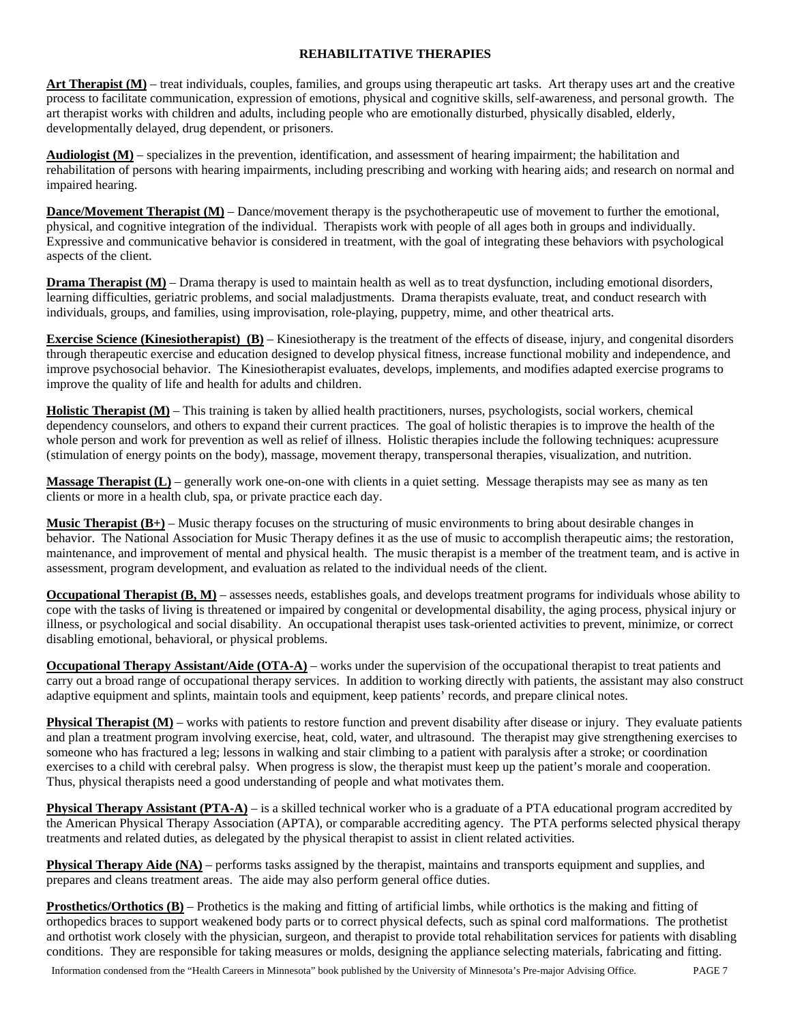# **REHABILITATIVE THERAPIES**

Art Therapist (M) – treat individuals, couples, families, and groups using therapeutic art tasks. Art therapy uses art and the creative process to facilitate communication, expression of emotions, physical and cognitive skills, self-awareness, and personal growth. The art therapist works with children and adults, including people who are emotionally disturbed, physically disabled, elderly, developmentally delayed, drug dependent, or prisoners.

**Audiologist (M)** – specializes in the prevention, identification, and assessment of hearing impairment; the habilitation and rehabilitation of persons with hearing impairments, including prescribing and working with hearing aids; and research on normal and impaired hearing.

**Dance/Movement Therapist (M)** – Dance/movement therapy is the psychotherapeutic use of movement to further the emotional, physical, and cognitive integration of the individual. Therapists work with people of all ages both in groups and individually. Expressive and communicative behavior is considered in treatment, with the goal of integrating these behaviors with psychological aspects of the client.

**Drama Therapist (M)** – Drama therapy is used to maintain health as well as to treat dysfunction, including emotional disorders, learning difficulties, geriatric problems, and social maladjustments. Drama therapists evaluate, treat, and conduct research with individuals, groups, and families, using improvisation, role-playing, puppetry, mime, and other theatrical arts.

**Exercise Science (Kinesiotherapist) (B)** – Kinesiotherapy is the treatment of the effects of disease, injury, and congenital disorders through therapeutic exercise and education designed to develop physical fitness, increase functional mobility and independence, and improve psychosocial behavior. The Kinesiotherapist evaluates, develops, implements, and modifies adapted exercise programs to improve the quality of life and health for adults and children.

**Holistic Therapist (M)** – This training is taken by allied health practitioners, nurses, psychologists, social workers, chemical dependency counselors, and others to expand their current practices. The goal of holistic therapies is to improve the health of the whole person and work for prevention as well as relief of illness. Holistic therapies include the following techniques: acupressure (stimulation of energy points on the body), massage, movement therapy, transpersonal therapies, visualization, and nutrition.

**Massage Therapist (L)** – generally work one-on-one with clients in a quiet setting. Message therapists may see as many as ten clients or more in a health club, spa, or private practice each day.

**Music Therapist (B+)** – Music therapy focuses on the structuring of music environments to bring about desirable changes in behavior. The National Association for Music Therapy defines it as the use of music to accomplish therapeutic aims; the restoration, maintenance, and improvement of mental and physical health. The music therapist is a member of the treatment team, and is active in assessment, program development, and evaluation as related to the individual needs of the client.

**Occupational Therapist (B, M)** – assesses needs, establishes goals, and develops treatment programs for individuals whose ability to cope with the tasks of living is threatened or impaired by congenital or developmental disability, the aging process, physical injury or illness, or psychological and social disability. An occupational therapist uses task-oriented activities to prevent, minimize, or correct disabling emotional, behavioral, or physical problems.

**Occupational Therapy Assistant/Aide (OTA-A)** – works under the supervision of the occupational therapist to treat patients and carry out a broad range of occupational therapy services. In addition to working directly with patients, the assistant may also construct adaptive equipment and splints, maintain tools and equipment, keep patients' records, and prepare clinical notes.

**Physical Therapist (M)** – works with patients to restore function and prevent disability after disease or injury. They evaluate patients and plan a treatment program involving exercise, heat, cold, water, and ultrasound. The therapist may give strengthening exercises to someone who has fractured a leg; lessons in walking and stair climbing to a patient with paralysis after a stroke; or coordination exercises to a child with cerebral palsy. When progress is slow, the therapist must keep up the patient's morale and cooperation. Thus, physical therapists need a good understanding of people and what motivates them.

**Physical Therapy Assistant (PTA-A)** – is a skilled technical worker who is a graduate of a PTA educational program accredited by the American Physical Therapy Association (APTA), or comparable accrediting agency. The PTA performs selected physical therapy treatments and related duties, as delegated by the physical therapist to assist in client related activities.

**Physical Therapy Aide (NA)** – performs tasks assigned by the therapist, maintains and transports equipment and supplies, and prepares and cleans treatment areas. The aide may also perform general office duties.

**Prosthetics/Orthotics (B)** – Prothetics is the making and fitting of artificial limbs, while orthotics is the making and fitting of orthopedics braces to support weakened body parts or to correct physical defects, such as spinal cord malformations. The prothetist and orthotist work closely with the physician, surgeon, and therapist to provide total rehabilitation services for patients with disabling conditions. They are responsible for taking measures or molds, designing the appliance selecting materials, fabricating and fitting.

Information condensed from the "Health Careers in Minnesota" book published by the University of Minnesota's Pre-major Advising Office. PAGE 7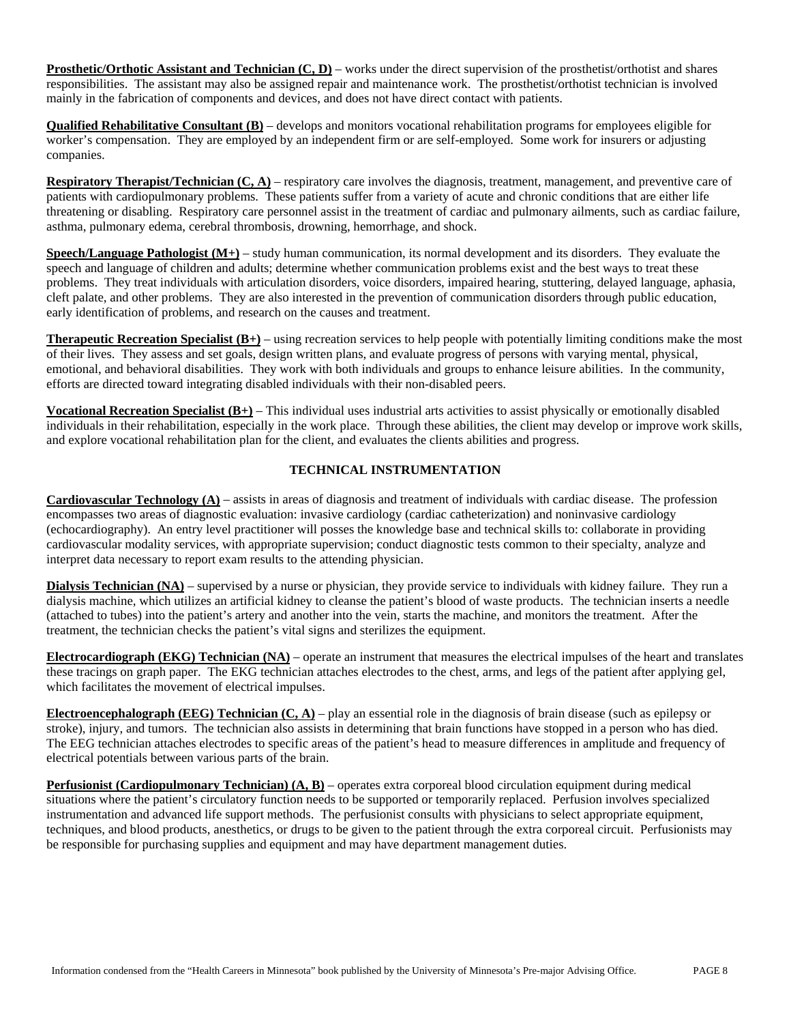**Prosthetic/Orthotic Assistant and Technician (C, D)** – works under the direct supervision of the prosthetist/orthotist and shares responsibilities. The assistant may also be assigned repair and maintenance work. The prosthetist/orthotist technician is involved mainly in the fabrication of components and devices, and does not have direct contact with patients.

**Qualified Rehabilitative Consultant (B)** – develops and monitors vocational rehabilitation programs for employees eligible for worker's compensation. They are employed by an independent firm or are self-employed. Some work for insurers or adjusting companies.

**Respiratory Therapist/Technician (C, A)** – respiratory care involves the diagnosis, treatment, management, and preventive care of patients with cardiopulmonary problems. These patients suffer from a variety of acute and chronic conditions that are either life threatening or disabling. Respiratory care personnel assist in the treatment of cardiac and pulmonary ailments, such as cardiac failure, asthma, pulmonary edema, cerebral thrombosis, drowning, hemorrhage, and shock.

**Speech/Language Pathologist (M+)** – study human communication, its normal development and its disorders. They evaluate the speech and language of children and adults; determine whether communication problems exist and the best ways to treat these problems. They treat individuals with articulation disorders, voice disorders, impaired hearing, stuttering, delayed language, aphasia, cleft palate, and other problems. They are also interested in the prevention of communication disorders through public education, early identification of problems, and research on the causes and treatment.

**Therapeutic Recreation Specialist (B+)** – using recreation services to help people with potentially limiting conditions make the most of their lives. They assess and set goals, design written plans, and evaluate progress of persons with varying mental, physical, emotional, and behavioral disabilities. They work with both individuals and groups to enhance leisure abilities. In the community, efforts are directed toward integrating disabled individuals with their non-disabled peers.

**Vocational Recreation Specialist (B+)** – This individual uses industrial arts activities to assist physically or emotionally disabled individuals in their rehabilitation, especially in the work place. Through these abilities, the client may develop or improve work skills, and explore vocational rehabilitation plan for the client, and evaluates the clients abilities and progress.

# **TECHNICAL INSTRUMENTATION**

**Cardiovascular Technology (A)** – assists in areas of diagnosis and treatment of individuals with cardiac disease. The profession encompasses two areas of diagnostic evaluation: invasive cardiology (cardiac catheterization) and noninvasive cardiology (echocardiography). An entry level practitioner will posses the knowledge base and technical skills to: collaborate in providing cardiovascular modality services, with appropriate supervision; conduct diagnostic tests common to their specialty, analyze and interpret data necessary to report exam results to the attending physician.

**Dialysis Technician (NA)** – supervised by a nurse or physician, they provide service to individuals with kidney failure. They run a dialysis machine, which utilizes an artificial kidney to cleanse the patient's blood of waste products. The technician inserts a needle (attached to tubes) into the patient's artery and another into the vein, starts the machine, and monitors the treatment. After the treatment, the technician checks the patient's vital signs and sterilizes the equipment.

**Electrocardiograph (EKG) Technician (NA)** – operate an instrument that measures the electrical impulses of the heart and translates these tracings on graph paper. The EKG technician attaches electrodes to the chest, arms, and legs of the patient after applying gel, which facilitates the movement of electrical impulses.

**Electroencephalograph (EEG) Technician (C, A)** – play an essential role in the diagnosis of brain disease (such as epilepsy or stroke), injury, and tumors. The technician also assists in determining that brain functions have stopped in a person who has died. The EEG technician attaches electrodes to specific areas of the patient's head to measure differences in amplitude and frequency of electrical potentials between various parts of the brain.

**Perfusionist (Cardiopulmonary Technician) (A, B)** – operates extra corporeal blood circulation equipment during medical situations where the patient's circulatory function needs to be supported or temporarily replaced. Perfusion involves specialized instrumentation and advanced life support methods. The perfusionist consults with physicians to select appropriate equipment, techniques, and blood products, anesthetics, or drugs to be given to the patient through the extra corporeal circuit. Perfusionists may be responsible for purchasing supplies and equipment and may have department management duties.